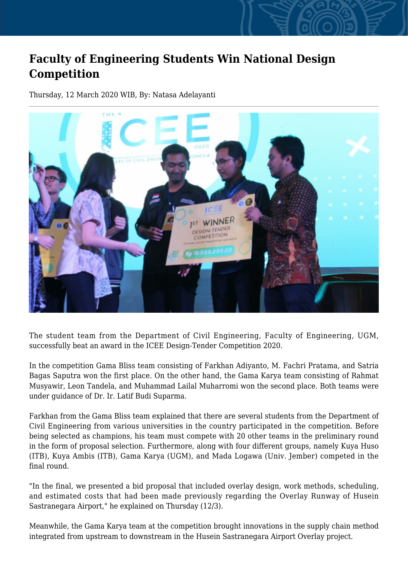## **Faculty of Engineering Students Win National Design Competition**

Thursday, 12 March 2020 WIB, By: Natasa Adelayanti



The student team from the Department of Civil Engineering, Faculty of Engineering, UGM, successfully beat an award in the ICEE Design-Tender Competition 2020.

In the competition Gama Bliss team consisting of Farkhan Adiyanto, M. Fachri Pratama, and Satria Bagas Saputra won the first place. On the other hand, the Gama Karya team consisting of Rahmat Musyawir, Leon Tandela, and Muhammad Lailal Muharromi won the second place. Both teams were under guidance of Dr. Ir. Latif Budi Suparma.

Farkhan from the Gama Bliss team explained that there are several students from the Department of Civil Engineering from various universities in the country participated in the competition. Before being selected as champions, his team must compete with 20 other teams in the preliminary round in the form of proposal selection. Furthermore, along with four different groups, namely Kuya Huso (ITB), Kuya Ambis (ITB), Gama Karya (UGM), and Mada Logawa (Univ. Jember) competed in the final round.

"In the final, we presented a bid proposal that included overlay design, work methods, scheduling, and estimated costs that had been made previously regarding the Overlay Runway of Husein Sastranegara Airport," he explained on Thursday (12/3).

Meanwhile, the Gama Karya team at the competition brought innovations in the supply chain method integrated from upstream to downstream in the Husein Sastranegara Airport Overlay project.